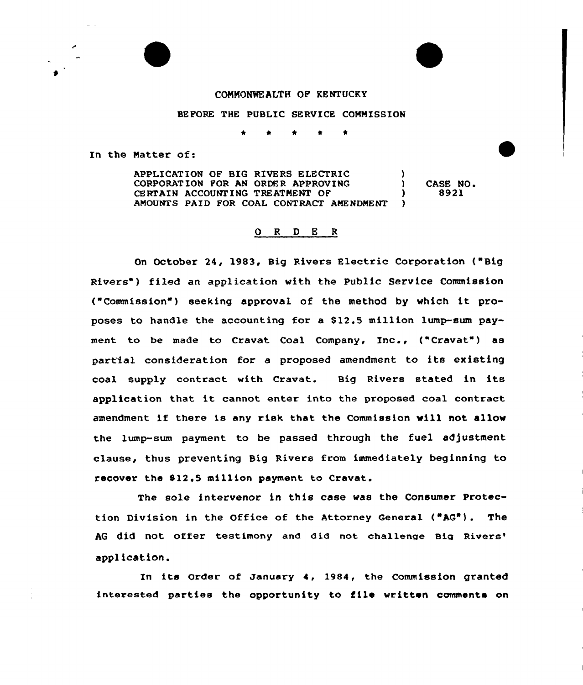## CONNONKALTH OF KENTUCKY

## BEFORE THE PUBLIC SERVICE CONMISSION

In the Natter of:

APPLICATION OF BIG RIVERS ELECTRIC (000) CORPORATION FOR AN ORDER APPROVING CERTAIN ACCOUNTING TREATMENT OF  $($ AMOUNTS PAID FOR COAL CONTRACT AMENDMENT ) CASE NO. 8921

## 0 <sup>R</sup> <sup>D</sup> E <sup>R</sup>

On October 24, 1983, Big Rivers Electric Corporation {"Big Rivers") filed an application with the Public Service Commission ("Commission") seeking appraval of the method by which it proposes ta handle the accounting for a \$ 12.5 million lump-sum payment to be made to Cravat Coal Company, Inc., ("Cravat") as partial cansideration for <sup>a</sup> proposed amendment to its existing coal supply contract with Cravat. Big Rivers stated in its application that it cannot enter into the proposed coal contract amendment if there is any risk that the Commission will not allow the lump-sum payment to be passed through the fuel adjustment clause, thus preventing Big Rivers from immediately beginning to recover the S12.5 million payment to Cravat.

The sole intervenor in this ease was the Consumer Protection Division in the Office of the Attorney General ("AG"). The AG did not offer testimony and did not challenge Big application.

In its order of January 4, 1984, the commission granted interested parties the opportunity to file written comments on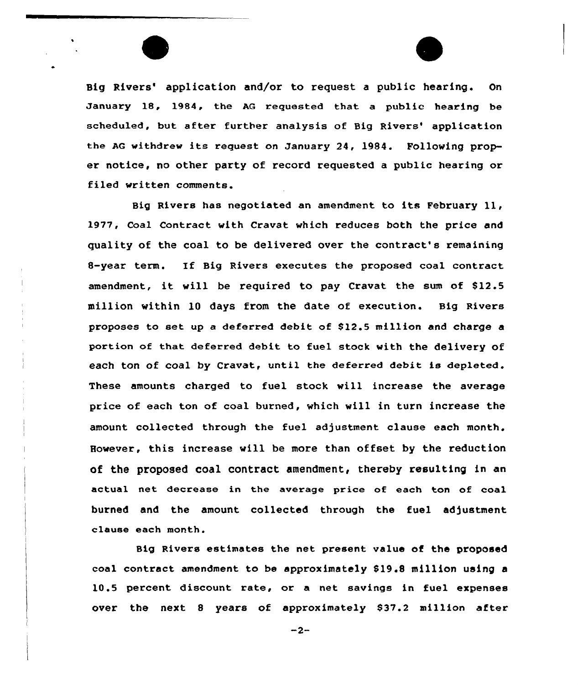Big Rivers' application and/or to request a public hearing. On January 18, 1984, the AG requested that a public hearing be scheduled, but after further analysis of Big Rivers' application the AG withdrew its request on January 24, 1984. Following proper notice, no other party of record requested a public hearing or filed written comments.

Big Rivers has negotiated an amendment to its February ll, 1977, Coal Contract with Cravat which reduces both the price and quality of the coal to be delivered over the contract's remaining 8-year term. If Big Rivers executes the proposed coal contract amendment, it will be required to pay Cravat the sum of \$12.5 million within 10 days from the date of execution. Big Rivers proposes to set up a deferred debit of \$12.5 million and charge a portion of that deferred debit to fuel stock with the delivery of each ton of coal by Cravat, until the deferred debit is depleted. These amounts charged to fuel stock will increase the average price of each ton of coal burned, which will in turn increase the amount collected through the fuel adjustment clause each month. However, this increase will be more than offset by the reduction of the proposed coal contract amendment, thereby resulting in an actual net decrease in the average price of each ton of coal burned and the amount collected through the fuel adjustment clause each month.

Big Rivers estimates the net present value of the proposed coal contract amendment to be approximately 819.S million using a 10.5 percent discount rate, or a net savings in fuel expenses over the next 8 years of approximately \$37.2 million after

 $-2-$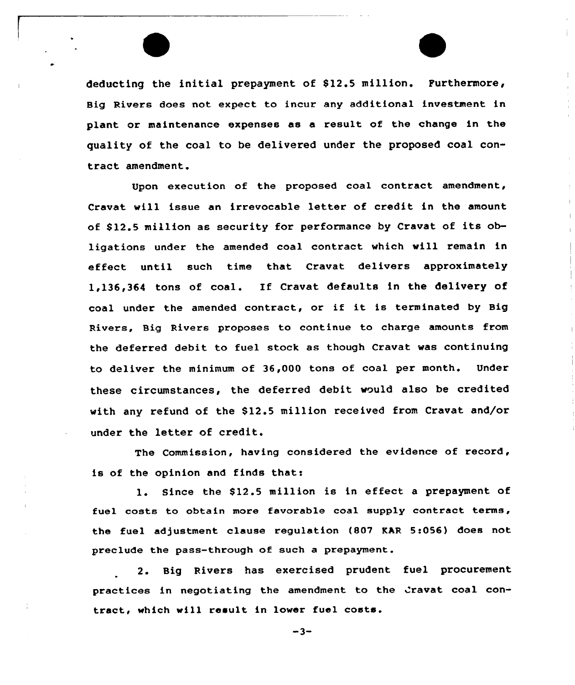deducting the initial prepayment of 812.5 million. Furthermore, Big Rivers does not expect to incur any additional investment in plant or maintenance expenses as a result of the change in the quality of the coal to be delivered under the proposed coal contract amendment.

Upon execution of the proposed coal contract amendment, Cravat will issue an irrevocable letter of credit in the amount of \$12.5 million as security for performance by Cravat of its obligations under the amended coal contract which will remain in effect until such time that Cravat delivers approximately 1,136,364 tons of coal. Ef Cravat defaults in the delivery of coal under the amended contract, or if it is terminated by Big Rivers, Big Rivers proposes to continue to charge amounts from the deferred debit to fuel stock as though Cravat was continuing to deliver the minimum of 36,000 tons of coal per month. Under these circumstances, the deferred debit would also be credited with any refund of the \$12.5 million received from Cravat and/or under the letter of credit.

The Commission, having considered the evidence of record, is of the opinion and finds that:

l. Since the 812.5 million is in effect <sup>a</sup> prepayment of fuel costs to obtain more favorable coal supply contract terms, the fuel adjustment clause regulation (807 EAR 5:056) does not preclude the pass-through of such a prepayment.

2. Big Rivers has exercised prudent fuel procurement practices in negotiating the amendment to the Cravat coal contract, which will result in lower fuel costa.

 $-3-$